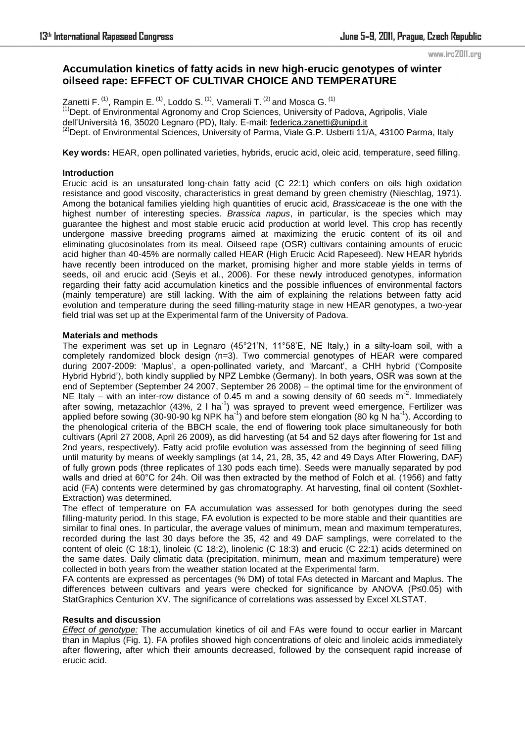# **Accumulation kinetics of fatty acids in new high-erucic genotypes of winter oilseed rape: EFFECT OF CULTIVAR CHOICE AND TEMPERATURE**

Zanetti F.  $<sup>(1)</sup>$ , Rampin E.  $<sup>(1)</sup>$ , Loddo S.  $<sup>(1)</sup>$ , Vamerali T.  $<sup>(2)</sup>$  and Mosca G.  $<sup>(1)</sup>$ </sup></sup></sup></sup></sup>  $<sup>(1)</sup>$  Dept. of Environmental Agronomy and Crop Sciences, University of Padova, Agripolis, Viale</sup> dell'Università 16, 35020 Legnaro (PD), Italy. E-mail: [federica.zanetti@unipd.it](mailto:federica.zanetti@unipd.it) <sup>(2)</sup>Dept. of Environmental Sciences, University of Parma, Viale G.P. Usberti 11/A, 43100 Parma, Italy

**Key words:** HEAR, open pollinated varieties, hybrids, erucic acid, oleic acid, temperature, seed filling.

# **Introduction**

Erucic acid is an unsaturated long-chain fatty acid (C 22:1) which confers on oils high oxidation resistance and good viscosity, characteristics in great demand by green chemistry (Nieschlag, 1971). Among the botanical families yielding high quantities of erucic acid, *Brassicaceae* is the one with the highest number of interesting species. *Brassica napus*, in particular, is the species which may guarantee the highest and most stable erucic acid production at world level. This crop has recently undergone massive breeding programs aimed at maximizing the erucic content of its oil and eliminating glucosinolates from its meal. Oilseed rape (OSR) cultivars containing amounts of erucic acid higher than 40-45% are normally called HEAR (High Erucic Acid Rapeseed). New HEAR hybrids have recently been introduced on the market, promising higher and more stable yields in terms of seeds, oil and erucic acid (Seyis et al., 2006). For these newly introduced genotypes, information regarding their fatty acid accumulation kinetics and the possible influences of environmental factors (mainly temperature) are still lacking. With the aim of explaining the relations between fatty acid evolution and temperature during the seed filling-maturity stage in new HEAR genotypes, a two-year field trial was set up at the Experimental farm of the University of Padova.

## **Materials and methods**

The experiment was set up in Legnaro (45°21'N, 11°58'E, NE Italy,) in a silty-loam soil, with a completely randomized block design (n=3). Two commercial genotypes of HEAR were compared during 2007-2009: 'Maplus', a open-pollinated variety, and 'Marcant', a CHH hybrid ('Composite Hybrid Hybrid'), both kindly supplied by NPZ Lembke (Germany). In both years, OSR was sown at the end of September (September 24 2007, September 26 2008) – the optimal time for the environment of NE Italy – with an inter-row distance of 0.45 m and a sowing density of 60 seeds m<sup>-2</sup>. Immediately after sowing, metazachlor (43%, 2 l ha<sup>-1</sup>) was sprayed to prevent weed emergence. Fertilizer was applied before sowing (30-90-90 kg NPK ha<sup>-1</sup>) and before stem elongation (80 kg N ha<sup>-1</sup>). According to the phenological criteria of the BBCH scale, the end of flowering took place simultaneously for both cultivars (April 27 2008, April 26 2009), as did harvesting (at 54 and 52 days after flowering for 1st and 2nd years, respectively). Fatty acid profile evolution was assessed from the beginning of seed filling until maturity by means of weekly samplings (at 14, 21, 28, 35, 42 and 49 Days After Flowering, DAF) of fully grown pods (three replicates of 130 pods each time). Seeds were manually separated by pod walls and dried at 60°C for 24h. Oil was then extracted by the method of Folch et al. (1956) and fatty acid (FA) contents were determined by gas chromatography. At harvesting, final oil content (Soxhlet-Extraction) was determined.

The effect of temperature on FA accumulation was assessed for both genotypes during the seed filling-maturity period. In this stage, FA evolution is expected to be more stable and their quantities are similar to final ones. In particular, the average values of minimum, mean and maximum temperatures, recorded during the last 30 days before the 35, 42 and 49 DAF samplings, were correlated to the content of oleic (C 18:1), linoleic (C 18:2), linolenic (C 18:3) and erucic (C 22:1) acids determined on the same dates. Daily climatic data (precipitation, minimum, mean and maximum temperature) were collected in both years from the weather station located at the Experimental farm.

FA contents are expressed as percentages (% DM) of total FAs detected in Marcant and Maplus. The differences between cultivars and years were checked for significance by ANOVA (P≤0.05) with StatGraphics Centurion XV. The significance of correlations was assessed by Excel XLSTAT.

## **Results and discussion**

*Effect of genotype:* The accumulation kinetics of oil and FAs were found to occur earlier in Marcant than in Maplus (Fig. 1). FA profiles showed high concentrations of oleic and linoleic acids immediately after flowering, after which their amounts decreased, followed by the consequent rapid increase of erucic acid.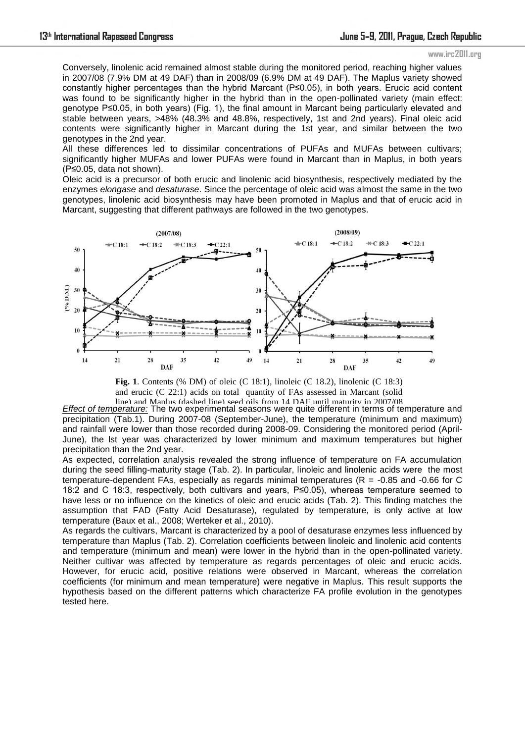Conversely, linolenic acid remained almost stable during the monitored period, reaching higher values in 2007/08 (7.9% DM at 49 DAF) than in 2008/09 (6.9% DM at 49 DAF). The Maplus variety showed constantly higher percentages than the hybrid Marcant (P≤0.05), in both years. Erucic acid content was found to be significantly higher in the hybrid than in the open-pollinated variety (main effect: genotype P≤0.05, in both years) (Fig. 1), the final amount in Marcant being particularly elevated and stable between years, >48% (48.3% and 48.8%, respectively, 1st and 2nd years). Final oleic acid contents were significantly higher in Marcant during the 1st year, and similar between the two genotypes in the 2nd year.

All these differences led to dissimilar concentrations of PUFAs and MUFAs between cultivars; significantly higher MUFAs and lower PUFAs were found in Marcant than in Maplus, in both years (P≤0.05, data not shown).

Oleic acid is a precursor of both erucic and linolenic acid biosynthesis, respectively mediated by the enzymes *elongase* and *desaturase*. Since the percentage of oleic acid was almost the same in the two genotypes, linolenic acid biosynthesis may have been promoted in Maplus and that of erucic acid in Marcant, suggesting that different pathways are followed in the two genotypes.



**Fig. 1**. Contents (% DM) of oleic (C 18:1), linoleic (C 18.2), linolenic (C 18:3) and erucic (C 22:1) acids on total quantity of FAs assessed in Marcant (solid line) and Maplus (dashed line) seed oils from 14 DAF until maturity in 2007/08

*Effect of temperature:* The two experimental seasons were quite different in terms of temperature and precipitation (Tab.1). During 2007-08 (September-June), the temperature (minimum and maximum) and rainfall were lower than those recorded during 2008-09. Considering the monitored period (April-June), the lst year was characterized by lower minimum and maximum temperatures but higher precipitation than the 2nd year.

As expected, correlation analysis revealed the strong influence of temperature on FA accumulation during the seed filling-maturity stage (Tab. 2). In particular, linoleic and linolenic acids were the most temperature-dependent FAs, especially as regards minimal temperatures ( $R = -0.85$  and -0.66 for C 18:2 and C 18:3, respectively, both cultivars and years, P≤0.05), whereas temperature seemed to have less or no influence on the kinetics of oleic and erucic acids (Tab. 2). This finding matches the assumption that FAD (Fatty Acid Desaturase), regulated by temperature, is only active at low temperature (Baux et al., 2008; Werteker et al., 2010).

As regards the cultivars, Marcant is characterized by a pool of desaturase enzymes less influenced by temperature than Maplus (Tab. 2). Correlation coefficients between linoleic and linolenic acid contents and temperature (minimum and mean) were lower in the hybrid than in the open-pollinated variety. Neither cultivar was affected by temperature as regards percentages of oleic and erucic acids. However, for erucic acid, positive relations were observed in Marcant, whereas the correlation coefficients (for minimum and mean temperature) were negative in Maplus. This result supports the hypothesis based on the different patterns which characterize FA profile evolution in the genotypes tested here.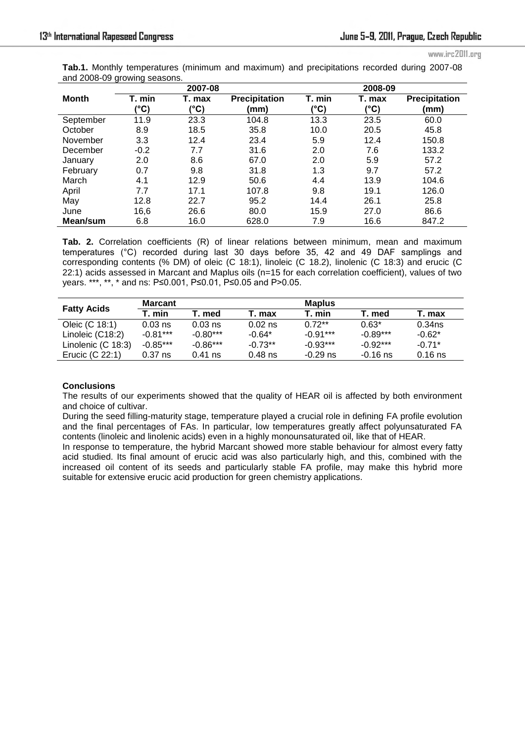**Tab.1.** Monthly temperatures (minimum and maximum) and precipitations recorded during 2007-08 and 2008-09 growing seasons.

|              |        | 2007-08 |                      | 2008-09 |        |                      |  |
|--------------|--------|---------|----------------------|---------|--------|----------------------|--|
| <b>Month</b> | T. min | T. max  | <b>Precipitation</b> | T. min  | T. max | <b>Precipitation</b> |  |
|              | (°C)   | (°C)    | (mm)                 | (°C)    | (°C)   | (mm)                 |  |
| September    | 11.9   | 23.3    | 104.8                | 13.3    | 23.5   | 60.0                 |  |
| October      | 8.9    | 18.5    | 35.8                 | 10.0    | 20.5   | 45.8                 |  |
| November     | 3.3    | 12.4    | 23.4                 | 5.9     | 12.4   | 150.8                |  |
| December     | $-0.2$ | 7.7     | 31.6                 | 2.0     | 7.6    | 133.2                |  |
| January      | 2.0    | 8.6     | 67.0                 | 2.0     | 5.9    | 57.2                 |  |
| February     | 0.7    | 9.8     | 31.8                 | 1.3     | 9.7    | 57.2                 |  |
| March        | 4.1    | 12.9    | 50.6                 | 4.4     | 13.9   | 104.6                |  |
| April        | 7.7    | 17.1    | 107.8                | 9.8     | 19.1   | 126.0                |  |
| May          | 12.8   | 22.7    | 95.2                 | 14.4    | 26.1   | 25.8                 |  |
| June         | 16,6   | 26.6    | 80.0                 | 15.9    | 27.0   | 86.6                 |  |
| Mean/sum     | 6.8    | 16.0    | 628.0                | 7.9     | 16.6   | 847.2                |  |

**Tab. 2.** Correlation coefficients (R) of linear relations between minimum, mean and maximum temperatures (°C) recorded during last 30 days before 35, 42 and 49 DAF samplings and corresponding contents (% DM) of oleic (C 18:1), linoleic (C 18.2), linolenic (C 18:3) and erucic (C 22:1) acids assessed in Marcant and Maplus oils (n=15 for each correlation coefficient), values of two years. \*\*\*, \*\*, \* and ns: P≤0.001, P≤0.01, P≤0.05 and P>0.05.

|                    | <b>Marcant</b> |            |           | <b>Maplus</b> |            |           |  |
|--------------------|----------------|------------|-----------|---------------|------------|-----------|--|
| <b>Fatty Acids</b> | T. min         | Г. med     | T. max    | T. min        | T. med     | T. max    |  |
| Oleic (C 18:1)     | $0.03$ ns      | $0.03$ ns  | $0.02$ ns | $0.72**$      | $0.63*$    | $0.34$ ns |  |
| Linoleic (C18:2)   | $-0.81***$     | $-0.80***$ | $-0.64*$  | $-0.91***$    | $-0.89***$ | $-0.62*$  |  |
| Linolenic (C 18:3) | $-0.85***$     | $-0.86***$ | $-0.73**$ | $-0.93***$    | $-0.92***$ | $-0.71*$  |  |
| Erucic (C 22:1)    | 0.37 ns        | 0.41 ns    | $0.48$ ns | $-0.29$ ns    | $-0.16$ ns | $0.16$ ns |  |

#### **Conclusions**

The results of our experiments showed that the quality of HEAR oil is affected by both environment and choice of cultivar.

During the seed filling-maturity stage, temperature played a crucial role in defining FA profile evolution and the final percentages of FAs. In particular, low temperatures greatly affect polyunsaturated FA contents (linoleic and linolenic acids) even in a highly monounsaturated oil, like that of HEAR.

In response to temperature, the hybrid Marcant showed more stable behaviour for almost every fatty acid studied. Its final amount of erucic acid was also particularly high, and this, combined with the increased oil content of its seeds and particularly stable FA profile, may make this hybrid more suitable for extensive erucic acid production for green chemistry applications.